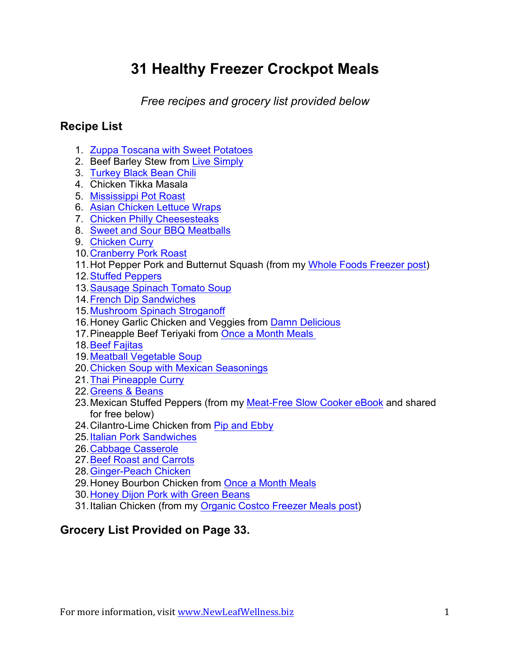# **31 Healthy Freezer Crockpot Meals**

*Free recipes and grocery list provided below*

# **Recipe List**

- 1. [Zuppa Toscana with Sweet Potatoes](https://newleafwellness.biz/2015/11/09/slow-cooker-zuppa-toscana-with-sweet-potatoes/)
- 2. Beef Barley Stew from [Live Simply](http://livesimply.me/2014/11/20/freezer-crockpot-beef-stew/)
- 3. [Turkey Black Bean Chili](https://newleafwellness.biz/2013/02/13/slow-cooker-turkey-black-bean-chili/)
- 4. Chicken Tikka Masala
- 5. [Mississippi Pot Roast](https://newleafwellness.biz/2015/11/04/homemade-mississippi-roast-in-the-slow-cooker/)
- 6. [Asian Chicken Lettuce Wraps](https://newleafwellness.biz/2015/06/16/slow-cooker-asian-chicken-lettuce-wraps/)
- 7. [Chicken Philly Cheesesteaks](https://newleafwellness.biz/2015/05/06/crockpot-chicken-philly-cheesesteak/)
- 8. [Sweet and Sour BBQ Meatballs](https://newleafwellness.biz/2015/08/27/crockpot-sweet-and-sour-bbq-meatballs/)
- 9. [Chicken Curry](https://newleafwellness.biz/2013/03/11/slow-cooker-chicken-curry-recipe/)
- 10.[Cranberry Pork Roast](https://newleafwellness.biz/2012/11/15/slow-cooker-cranberry-pork-roast/)
- 11.Hot Pepper Pork and Butternut Squash (from my [Whole Foods Freezer post\)](https://newleafwellness.biz/2015/02/09/crockpot-freezer-meals-from-whole-foods-8-meals-in-35-min/)
- 12.[Stuffed Peppers](https://newleafwellness.biz/2015/04/08/slow-cooker-stuffed-peppers-freezer-friendly/)
- 13.[Sausage Spinach Tomato Soup](https://newleafwellness.biz/2013/03/21/slow-cooker-sausage-spinach-tomato-soup-recipe/)
- 14.[French Dip Sandwiches](https://newleafwellness.biz/2015/10/07/delicious-slow-cooker-french-dip-sandwiches/)
- 15.[Mushroom Spinach Stroganoff](https://newleafwellness.biz/2015/04/15/mushroom-spinach-crockpot-stroganoff/)
- 16.Honey Garlic Chicken and Veggies from [Damn Delicious](http://damndelicious.net/2015/06/05/slow-cooker-honey-garlic-chicken-and-veggies/)
- 17. Pineapple Beef Teriyaki from [Once a Month Meals](https://onceamonthmeals.com/recipes/pineapple-beef-teriyaki/)
- 18.[Beef Fajitas](https://newleafwellness.biz/2015/02/04/crockpot-beef-fajitas/)
- 19.[Meatball Vegetable Soup](https://newleafwellness.biz/2014/05/21/slow-cooker-meatball-veggie-soup/)
- 20.[Chicken Soup with Mexican Seasonings](https://newleafwellness.biz/2014/09/24/crockpot-chicken-soup-mexican-seasonings/)
- 21.[Thai Pineapple Curry](https://newleafwellness.biz/2015/10/21/freezer-to-slow-cooker-thai-pineapple-curry/)
- 22.[Greens & Beans](https://newleafwellness.biz/2015/03/04/crockpot-greens-beans/)
- 23.Mexican Stuffed Peppers (from my [Meat-Free Slow Cooker eBook](https://newleafwellness.biz/product/meat-free-slow-cooker-freezer-meals-cookbook/) and shared for free below)
- 24. Cilantro-Lime Chicken from [Pip and Ebby](http://www.pipandebby.com/pip-ebby/2011/11/18/slow-cooker-cilantro-lime-chicken.html)
- 25.[Italian Pork Sandwiches](https://newleafwellness.biz/2015/09/16/slow-cooker-italian-pork-sandwiches/)
- 26.[Cabbage Casserole](https://newleafwellness.biz/2015/06/08/crockpot-cabbage-casserole/)
- 27.[Beef Roast and Carrots](https://newleafwellness.biz/2014/07/23/slow-cooker-beef-roast-carrots/)
- 28.[Ginger-Peach Chicken](https://newleafwellness.biz/2014/04/09/slow-cooker-ginger-peach-chicken/)
- 29.Honey Bourbon Chicken from [Once a Month Meals](https://onceamonthmeals.com/recipes/gluten-free-dairy-free-honey-bourbon-chicken-in-the-slow-cooker/)
- 30.[Honey Dijon Pork with Green Beans](https://newleafwellness.biz/2015/02/09/crockpot-freezer-meals-from-whole-foods-8-meals-in-35-min/)
- 31.Italian Chicken (from my [Organic Costco Freezer Meals post](https://newleafwellness.biz/2015/03/30/organic-crockpot-freezer-meals-from-costco-10-meals-in-60-minutes/))

# **Grocery List Provided on Page 33.**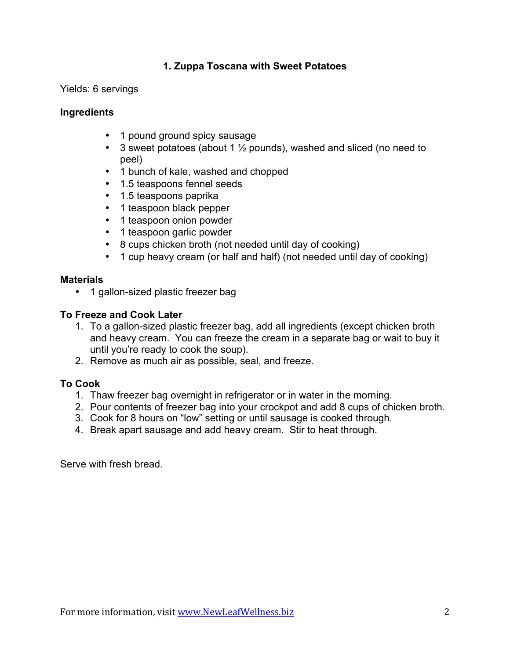# **1. Zuppa Toscana with Sweet Potatoes**

Yields: 6 servings

# **Ingredients**

- 1 pound ground spicy sausage
- 3 sweet potatoes (about 1  $\frac{1}{2}$  pounds), washed and sliced (no need to peel)
- 1 bunch of kale, washed and chopped
- 1.5 teaspoons fennel seeds
- 1.5 teaspoons paprika
- 1 teaspoon black pepper
- 1 teaspoon onion powder
- 1 teaspoon garlic powder
- 8 cups chicken broth (not needed until day of cooking)
- 1 cup heavy cream (or half and half) (not needed until day of cooking)

# **Materials**

• 1 gallon-sized plastic freezer bag

# **To Freeze and Cook Later**

- 1. To a gallon-sized plastic freezer bag, add all ingredients (except chicken broth and heavy cream. You can freeze the cream in a separate bag or wait to buy it until you're ready to cook the soup).
- 2. Remove as much air as possible, seal, and freeze.

# **To Cook**

- 1. Thaw freezer bag overnight in refrigerator or in water in the morning.
- 2. Pour contents of freezer bag into your crockpot and add 8 cups of chicken broth.
- 3. Cook for 8 hours on "low" setting or until sausage is cooked through.
- 4. Break apart sausage and add heavy cream. Stir to heat through.

Serve with fresh bread.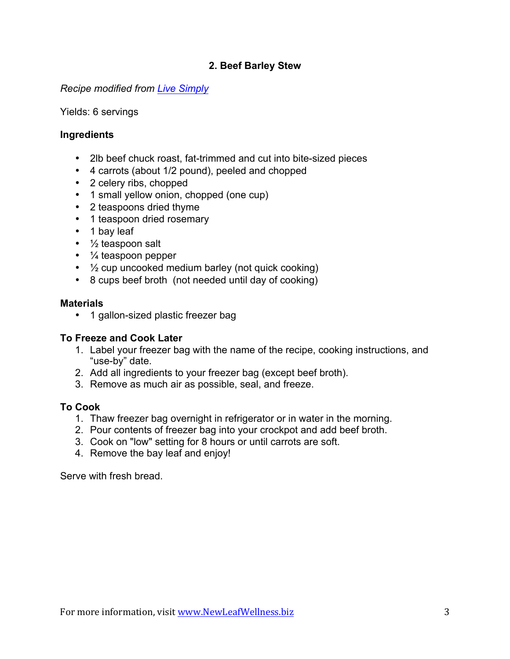# **2. Beef Barley Stew**

### *Recipe modified from [Live Simply](http://livesimply.me/2014/11/20/freezer-crockpot-beef-stew/)*

Yields: 6 servings

### **Ingredients**

- 2lb beef chuck roast, fat-trimmed and cut into bite-sized pieces
- 4 carrots (about 1/2 pound), peeled and chopped
- 2 celery ribs, chopped
- 1 small yellow onion, chopped (one cup)
- 2 teaspoons dried thyme
- 1 teaspoon dried rosemary
- 1 bay leaf
- ½ teaspoon salt
- ¼ teaspoon pepper
- ½ cup uncooked medium barley (not quick cooking)
- 8 cups beef broth (not needed until day of cooking)

#### **Materials**

• 1 gallon-sized plastic freezer bag

### **To Freeze and Cook Later**

- 1. Label your freezer bag with the name of the recipe, cooking instructions, and "use-by" date.
- 2. Add all ingredients to your freezer bag (except beef broth).
- 3. Remove as much air as possible, seal, and freeze.

### **To Cook**

- 1. Thaw freezer bag overnight in refrigerator or in water in the morning.
- 2. Pour contents of freezer bag into your crockpot and add beef broth.
- 3. Cook on "low" setting for 8 hours or until carrots are soft.
- 4. Remove the bay leaf and enjoy!

Serve with fresh bread.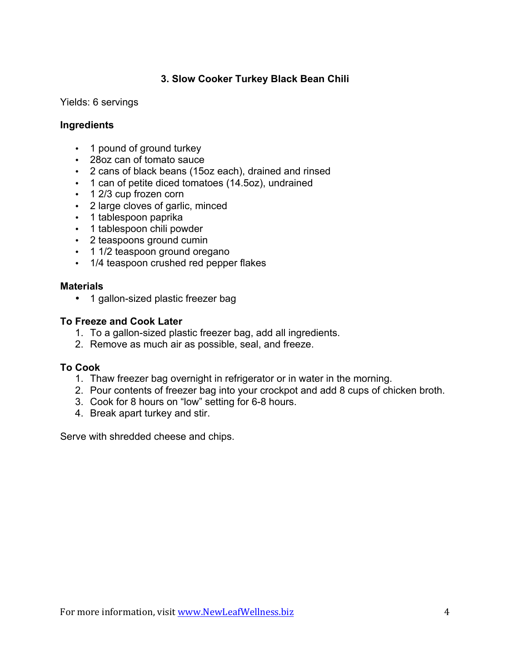# **3. Slow Cooker Turkey Black Bean Chili**

### Yields: 6 servings

### **Ingredients**

- 1 pound of ground turkey
- 28oz can of tomato sauce
- 2 cans of black beans (15oz each), drained and rinsed
- 1 can of petite diced tomatoes (14.5oz), undrained
- 1 2/3 cup frozen corn
- 2 large cloves of garlic, minced
- 1 tablespoon paprika
- 1 tablespoon chili powder
- 2 teaspoons ground cumin
- 1 1/2 teaspoon ground oregano
- 1/4 teaspoon crushed red pepper flakes

### **Materials**

• 1 gallon-sized plastic freezer bag

### **To Freeze and Cook Later**

- 1. To a gallon-sized plastic freezer bag, add all ingredients.
- 2. Remove as much air as possible, seal, and freeze.

### **To Cook**

- 1. Thaw freezer bag overnight in refrigerator or in water in the morning.
- 2. Pour contents of freezer bag into your crockpot and add 8 cups of chicken broth.
- 3. Cook for 8 hours on "low" setting for 6-8 hours.
- 4. Break apart turkey and stir.

Serve with shredded cheese and chips.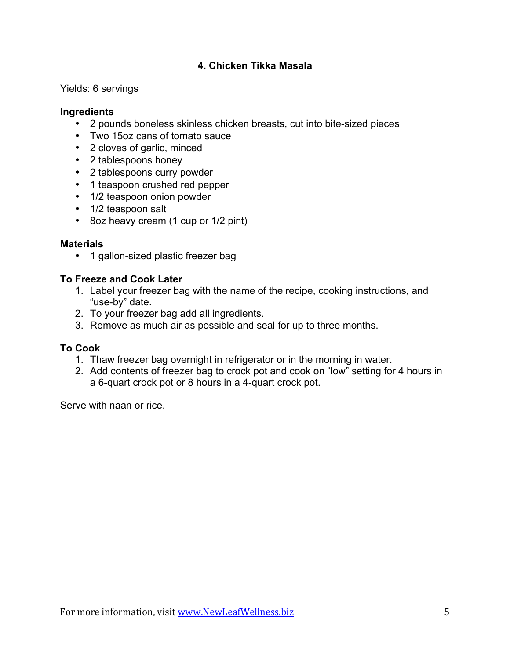# **4. Chicken Tikka Masala**

Yields: 6 servings

# **Ingredients**

- 2 pounds boneless skinless chicken breasts, cut into bite-sized pieces
- Two 15oz cans of tomato sauce
- 2 cloves of garlic, minced
- 2 tablespoons honey
- 2 tablespoons curry powder
- 1 teaspoon crushed red pepper
- 1/2 teaspoon onion powder
- 1/2 teaspoon salt
- 8oz heavy cream (1 cup or 1/2 pint)

# **Materials**

• 1 gallon-sized plastic freezer bag

# **To Freeze and Cook Later**

- 1. Label your freezer bag with the name of the recipe, cooking instructions, and "use-by" date.
- 2. To your freezer bag add all ingredients.
- 3. Remove as much air as possible and seal for up to three months.

### **To Cook**

- 1. Thaw freezer bag overnight in refrigerator or in the morning in water.
- 2. Add contents of freezer bag to crock pot and cook on "low" setting for 4 hours in a 6-quart crock pot or 8 hours in a 4-quart crock pot.

Serve with naan or rice.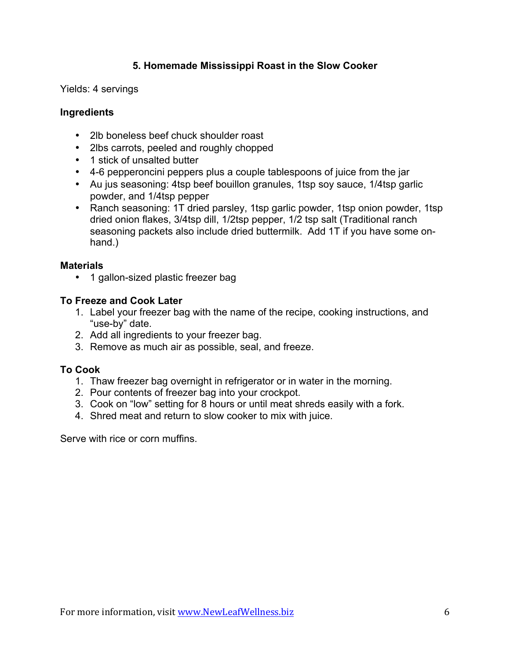# **5. Homemade Mississippi Roast in the Slow Cooker**

Yields: 4 servings

# **Ingredients**

- 2lb boneless beef chuck shoulder roast
- 2lbs carrots, peeled and roughly chopped
- 1 stick of unsalted butter
- 4-6 pepperoncini peppers plus a couple tablespoons of juice from the jar
- Au jus seasoning: 4tsp beef bouillon granules, 1tsp soy sauce, 1/4tsp garlic powder, and 1/4tsp pepper
- Ranch seasoning: 1T dried parsley, 1tsp garlic powder, 1tsp onion powder, 1tsp dried onion flakes, 3/4tsp dill, 1/2tsp pepper, 1/2 tsp salt (Traditional ranch seasoning packets also include dried buttermilk. Add 1T if you have some onhand.)

# **Materials**

• 1 gallon-sized plastic freezer bag

# **To Freeze and Cook Later**

- 1. Label your freezer bag with the name of the recipe, cooking instructions, and "use-by" date.
- 2. Add all ingredients to your freezer bag.
- 3. Remove as much air as possible, seal, and freeze.

# **To Cook**

- 1. Thaw freezer bag overnight in refrigerator or in water in the morning.
- 2. Pour contents of freezer bag into your crockpot.
- 3. Cook on "low" setting for 8 hours or until meat shreds easily with a fork.
- 4. Shred meat and return to slow cooker to mix with juice.

Serve with rice or corn muffins.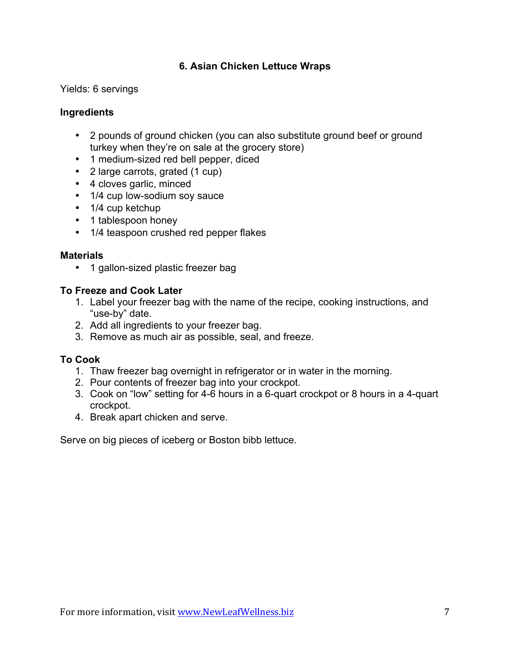# **6. Asian Chicken Lettuce Wraps**

Yields: 6 servings

# **Ingredients**

- 2 pounds of ground chicken (you can also substitute ground beef or ground turkey when they're on sale at the grocery store)
- 1 medium-sized red bell pepper, diced
- 2 large carrots, grated (1 cup)
- 4 cloves garlic, minced
- 1/4 cup low-sodium soy sauce
- 1/4 cup ketchup
- 1 tablespoon honey
- 1/4 teaspoon crushed red pepper flakes

# **Materials**

• 1 gallon-sized plastic freezer bag

# **To Freeze and Cook Later**

- 1. Label your freezer bag with the name of the recipe, cooking instructions, and "use-by" date.
- 2. Add all ingredients to your freezer bag.
- 3. Remove as much air as possible, seal, and freeze.

### **To Cook**

- 1. Thaw freezer bag overnight in refrigerator or in water in the morning.
- 2. Pour contents of freezer bag into your crockpot.
- 3. Cook on "low" setting for 4-6 hours in a 6-quart crockpot or 8 hours in a 4-quart crockpot.
- 4. Break apart chicken and serve.

Serve on big pieces of iceberg or Boston bibb lettuce.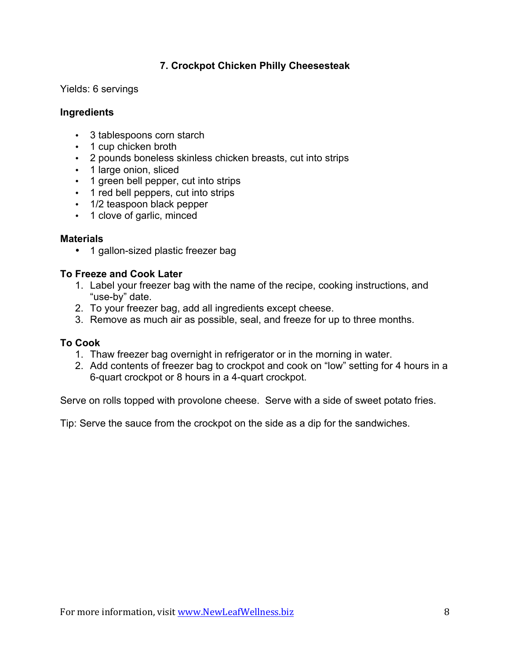# **7. Crockpot Chicken Philly Cheesesteak**

Yields: 6 servings

# **Ingredients**

- 3 tablespoons corn starch
- 1 cup chicken broth
- 2 pounds boneless skinless chicken breasts, cut into strips
- 1 large onion, sliced
- 1 green bell pepper, cut into strips
- 1 red bell peppers, cut into strips
- 1/2 teaspoon black pepper
- 1 clove of garlic, minced

### **Materials**

• 1 gallon-sized plastic freezer bag

# **To Freeze and Cook Later**

- 1. Label your freezer bag with the name of the recipe, cooking instructions, and "use-by" date.
- 2. To your freezer bag, add all ingredients except cheese.
- 3. Remove as much air as possible, seal, and freeze for up to three months.

### **To Cook**

- 1. Thaw freezer bag overnight in refrigerator or in the morning in water.
- 2. Add contents of freezer bag to crockpot and cook on "low" setting for 4 hours in a 6-quart crockpot or 8 hours in a 4-quart crockpot.

Serve on rolls topped with provolone cheese. Serve with a side of sweet potato fries.

Tip: Serve the sauce from the crockpot on the side as a dip for the sandwiches.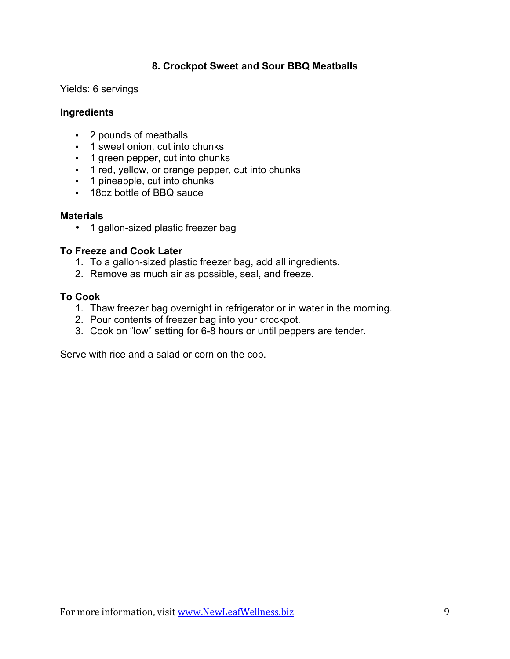# **8. Crockpot Sweet and Sour BBQ Meatballs**

Yields: 6 servings

### **Ingredients**

- 2 pounds of meatballs
- 1 sweet onion, cut into chunks
- 1 green pepper, cut into chunks
- 1 red, yellow, or orange pepper, cut into chunks
- 1 pineapple, cut into chunks
- 18oz bottle of BBQ sauce

#### **Materials**

• 1 gallon-sized plastic freezer bag

#### **To Freeze and Cook Later**

- 1. To a gallon-sized plastic freezer bag, add all ingredients.
- 2. Remove as much air as possible, seal, and freeze.

### **To Cook**

- 1. Thaw freezer bag overnight in refrigerator or in water in the morning.
- 2. Pour contents of freezer bag into your crockpot.
- 3. Cook on "low" setting for 6-8 hours or until peppers are tender.

Serve with rice and a salad or corn on the cob.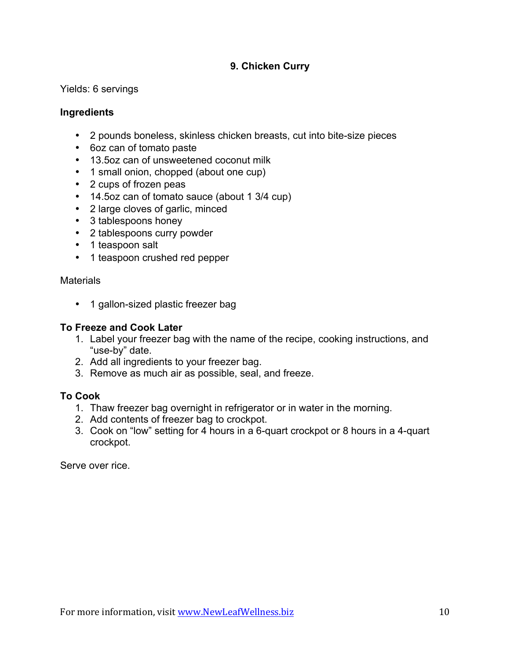# **9. Chicken Curry**

Yields: 6 servings

# **Ingredients**

- 2 pounds boneless, skinless chicken breasts, cut into bite-size pieces
- 6oz can of tomato paste
- 13.5oz can of unsweetened coconut milk
- 1 small onion, chopped (about one cup)
- 2 cups of frozen peas
- 14.5oz can of tomato sauce (about 1 3/4 cup)
- 2 large cloves of garlic, minced
- 3 tablespoons honey
- 2 tablespoons curry powder
- 1 teaspoon salt
- 1 teaspoon crushed red pepper

**Materials** 

• 1 gallon-sized plastic freezer bag

### **To Freeze and Cook Later**

- 1. Label your freezer bag with the name of the recipe, cooking instructions, and "use-by" date.
- 2. Add all ingredients to your freezer bag.
- 3. Remove as much air as possible, seal, and freeze.

### **To Cook**

- 1. Thaw freezer bag overnight in refrigerator or in water in the morning.
- 2. Add contents of freezer bag to crockpot.
- 3. Cook on "low" setting for 4 hours in a 6-quart crockpot or 8 hours in a 4-quart crockpot.

Serve over rice.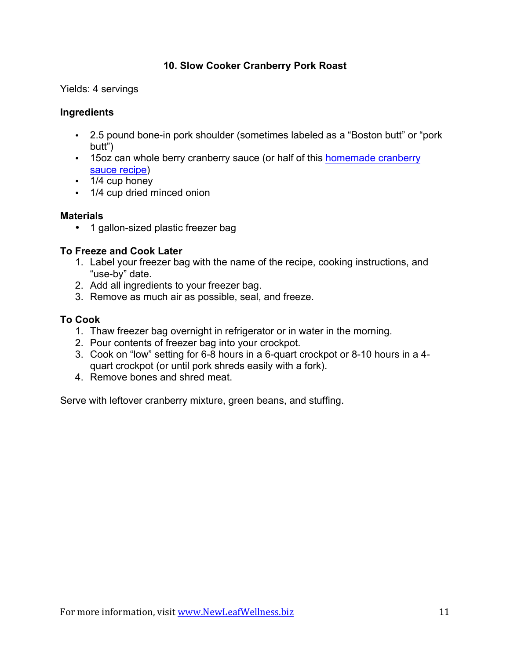# **10. Slow Cooker Cranberry Pork Roast**

Yields: 4 servings

# **Ingredients**

- 2.5 pound bone-in pork shoulder (sometimes labeled as a "Boston butt" or "pork butt")
- 15oz can whole berry cranberry sauce (or half of this [homemade cranberry](http://newleafwellness.biz/2015/11/19/homemade-cranberry-sauce-in-the-slow-cooker/) [sauce recipe](http://newleafwellness.biz/2015/11/19/homemade-cranberry-sauce-in-the-slow-cooker/))
- 1/4 cup honey
- 1/4 cup dried minced onion

# **Materials**

• 1 gallon-sized plastic freezer bag

# **To Freeze and Cook Later**

- 1. Label your freezer bag with the name of the recipe, cooking instructions, and "use-by" date.
- 2. Add all ingredients to your freezer bag.
- 3. Remove as much air as possible, seal, and freeze.

# **To Cook**

- 1. Thaw freezer bag overnight in refrigerator or in water in the morning.
- 2. Pour contents of freezer bag into your crockpot.
- 3. Cook on "low" setting for 6-8 hours in a 6-quart crockpot or 8-10 hours in a 4 quart crockpot (or until pork shreds easily with a fork).
- 4. Remove bones and shred meat.

Serve with leftover cranberry mixture, green beans, and stuffing.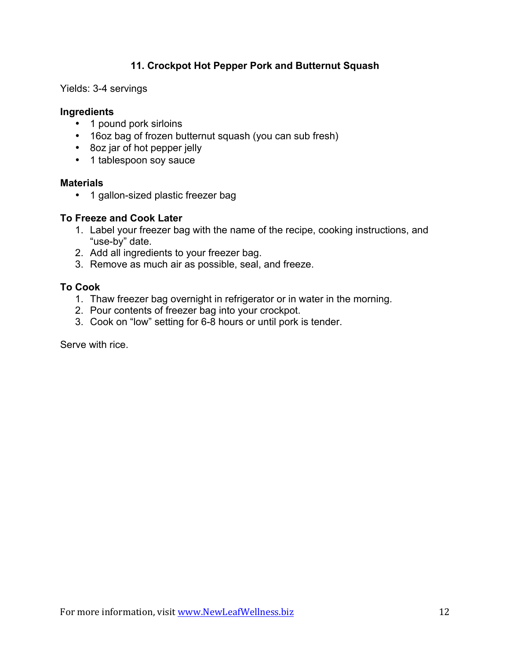# **11. Crockpot Hot Pepper Pork and Butternut Squash**

Yields: 3-4 servings

### **Ingredients**

- 1 pound pork sirloins
- 16oz bag of frozen butternut squash (you can sub fresh)
- 8oz jar of hot pepper jelly
- 1 tablespoon soy sauce

#### **Materials**

• 1 gallon-sized plastic freezer bag

### **To Freeze and Cook Later**

- 1. Label your freezer bag with the name of the recipe, cooking instructions, and "use-by" date.
- 2. Add all ingredients to your freezer bag.
- 3. Remove as much air as possible, seal, and freeze.

# **To Cook**

- 1. Thaw freezer bag overnight in refrigerator or in water in the morning.
- 2. Pour contents of freezer bag into your crockpot.
- 3. Cook on "low" setting for 6-8 hours or until pork is tender.

Serve with rice.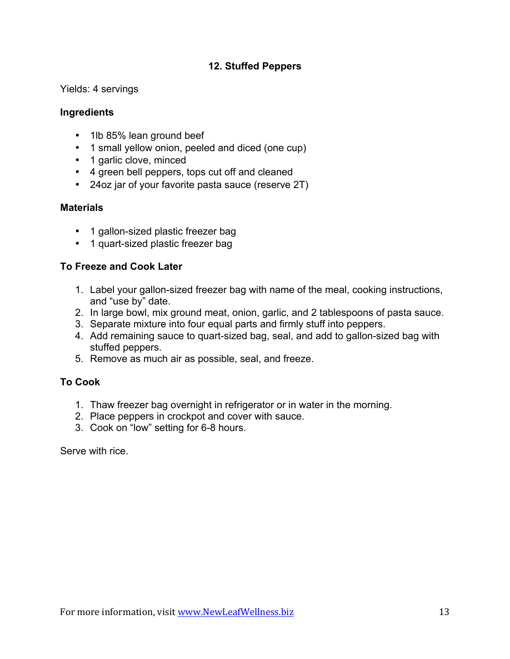# **12. Stuffed Peppers**

Yields: 4 servings

# **Ingredients**

- 1lb 85% lean ground beef
- 1 small yellow onion, peeled and diced (one cup)
- 1 garlic clove, minced
- 4 green bell peppers, tops cut off and cleaned
- 24oz jar of your favorite pasta sauce (reserve 2T)

# **Materials**

- 1 gallon-sized plastic freezer bag
- 1 quart-sized plastic freezer bag

# **To Freeze and Cook Later**

- 1. Label your gallon-sized freezer bag with name of the meal, cooking instructions, and "use by" date.
- 2. In large bowl, mix ground meat, onion, garlic, and 2 tablespoons of pasta sauce.
- 3. Separate mixture into four equal parts and firmly stuff into peppers.
- 4. Add remaining sauce to quart-sized bag, seal, and add to gallon-sized bag with stuffed peppers.
- 5. Remove as much air as possible, seal, and freeze.

# **To Cook**

- 1. Thaw freezer bag overnight in refrigerator or in water in the morning.
- 2. Place peppers in crockpot and cover with sauce.
- 3. Cook on "low" setting for 6-8 hours.

Serve with rice.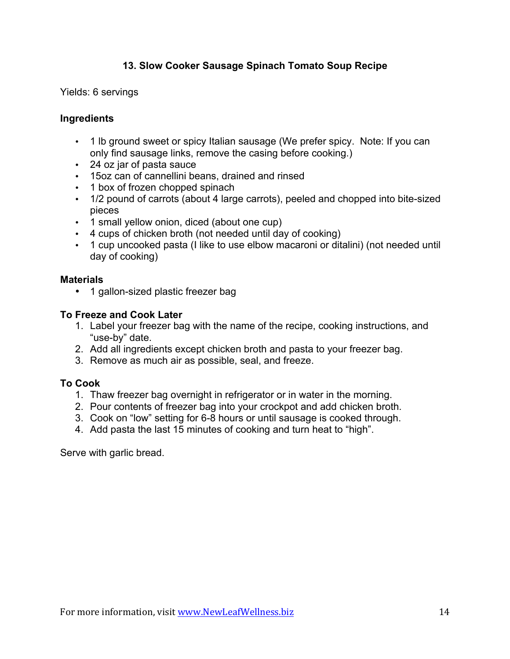# **13. Slow Cooker Sausage Spinach Tomato Soup Recipe**

Yields: 6 servings

### **Ingredients**

- 1 lb ground sweet or spicy Italian sausage (We prefer spicy. Note: If you can only find sausage links, remove the casing before cooking.)
- 24 oz jar of pasta sauce
- 15oz can of cannellini beans, drained and rinsed
- 1 box of frozen chopped spinach
- 1/2 pound of carrots (about 4 large carrots), peeled and chopped into bite-sized pieces
- 1 small yellow onion, diced (about one cup)
- 4 cups of chicken broth (not needed until day of cooking)
- 1 cup uncooked pasta (I like to use elbow macaroni or ditalini) (not needed until day of cooking)

### **Materials**

• 1 gallon-sized plastic freezer bag

### **To Freeze and Cook Later**

- 1. Label your freezer bag with the name of the recipe, cooking instructions, and "use-by" date.
- 2. Add all ingredients except chicken broth and pasta to your freezer bag.
- 3. Remove as much air as possible, seal, and freeze.

### **To Cook**

- 1. Thaw freezer bag overnight in refrigerator or in water in the morning.
- 2. Pour contents of freezer bag into your crockpot and add chicken broth.
- 3. Cook on "low" setting for 6-8 hours or until sausage is cooked through.
- 4. Add pasta the last 15 minutes of cooking and turn heat to "high".

Serve with garlic bread.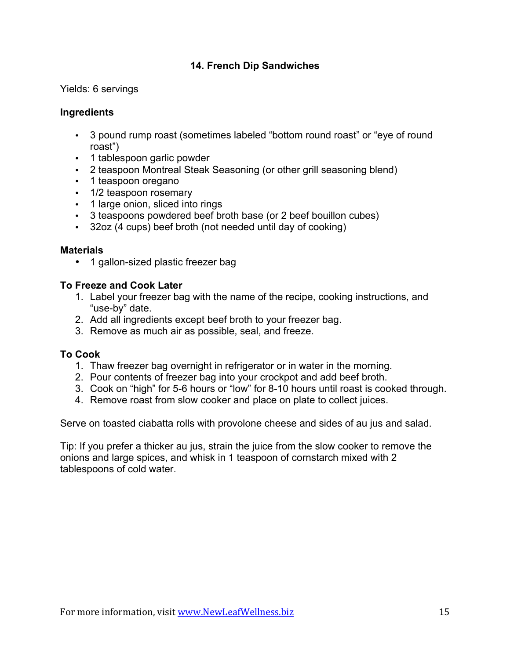# **14. French Dip Sandwiches**

Yields: 6 servings

# **Ingredients**

- 3 pound rump roast (sometimes labeled "bottom round roast" or "eye of round roast")
- 1 tablespoon garlic powder
- 2 teaspoon Montreal Steak Seasoning (or other grill seasoning blend)
- 1 teaspoon oregano
- 1/2 teaspoon rosemary
- 1 large onion, sliced into rings
- 3 teaspoons powdered beef broth base (or 2 beef bouillon cubes)
- 32oz (4 cups) beef broth (not needed until day of cooking)

### **Materials**

• 1 gallon-sized plastic freezer bag

# **To Freeze and Cook Later**

- 1. Label your freezer bag with the name of the recipe, cooking instructions, and "use-by" date.
- 2. Add all ingredients except beef broth to your freezer bag.
- 3. Remove as much air as possible, seal, and freeze.

### **To Cook**

- 1. Thaw freezer bag overnight in refrigerator or in water in the morning.
- 2. Pour contents of freezer bag into your crockpot and add beef broth.
- 3. Cook on "high" for 5-6 hours or "low" for 8-10 hours until roast is cooked through.
- 4. Remove roast from slow cooker and place on plate to collect juices.

Serve on toasted ciabatta rolls with provolone cheese and sides of au jus and salad.

Tip: If you prefer a thicker au jus, strain the juice from the slow cooker to remove the onions and large spices, and whisk in 1 teaspoon of cornstarch mixed with 2 tablespoons of cold water.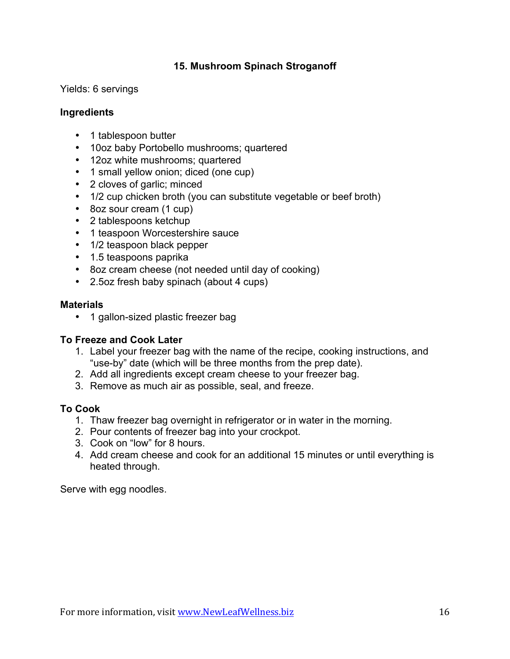# **15. Mushroom Spinach Stroganoff**

Yields: 6 servings

### **Ingredients**

- 1 tablespoon butter
- 10oz baby Portobello mushrooms; quartered
- 12oz white mushrooms; quartered
- 1 small yellow onion; diced (one cup)
- 2 cloves of garlic; minced
- 1/2 cup chicken broth (you can substitute vegetable or beef broth)
- 8oz sour cream (1 cup)
- 2 tablespoons ketchup
- 1 teaspoon Worcestershire sauce
- 1/2 teaspoon black pepper
- 1.5 teaspoons paprika
- 8oz cream cheese (not needed until day of cooking)
- 2.5oz fresh baby spinach (about 4 cups)

#### **Materials**

• 1 gallon-sized plastic freezer bag

### **To Freeze and Cook Later**

- 1. Label your freezer bag with the name of the recipe, cooking instructions, and "use-by" date (which will be three months from the prep date).
- 2. Add all ingredients except cream cheese to your freezer bag.
- 3. Remove as much air as possible, seal, and freeze.

### **To Cook**

- 1. Thaw freezer bag overnight in refrigerator or in water in the morning.
- 2. Pour contents of freezer bag into your crockpot.
- 3. Cook on "low" for 8 hours.
- 4. Add cream cheese and cook for an additional 15 minutes or until everything is heated through.

Serve with egg noodles.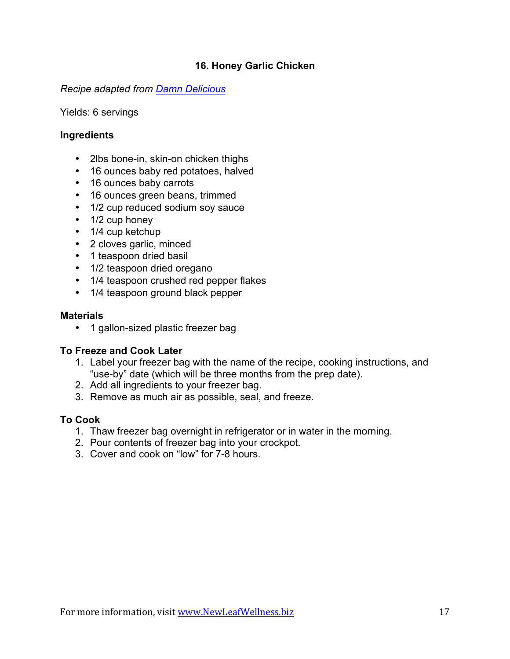# **16. Honey Garlic Chicken**

### *Recipe adapted from [Damn Delicious](http://damndelicious.net/2015/06/05/slow-cooker-honey-garlic-chicken-and-veggies/)*

Yields: 6 servings

### **Ingredients**

- 2lbs bone-in, skin-on chicken thighs
- 16 ounces baby red potatoes, halved
- 16 ounces baby carrots
- 16 ounces green beans, trimmed
- 1/2 cup reduced sodium soy sauce
- 1/2 cup honey
- 1/4 cup ketchup
- 2 cloves garlic, minced
- 1 teaspoon dried basil
- 1/2 teaspoon dried oregano
- 1/4 teaspoon crushed red pepper flakes
- 1/4 teaspoon ground black pepper

#### **Materials**

• 1 gallon-sized plastic freezer bag

### **To Freeze and Cook Later**

- 1. Label your freezer bag with the name of the recipe, cooking instructions, and "use-by" date (which will be three months from the prep date).
- 2. Add all ingredients to your freezer bag.
- 3. Remove as much air as possible, seal, and freeze.

### **To Cook**

- 1. Thaw freezer bag overnight in refrigerator or in water in the morning.
- 2. Pour contents of freezer bag into your crockpot.
- 3. Cover and cook on "low" for 7-8 hours.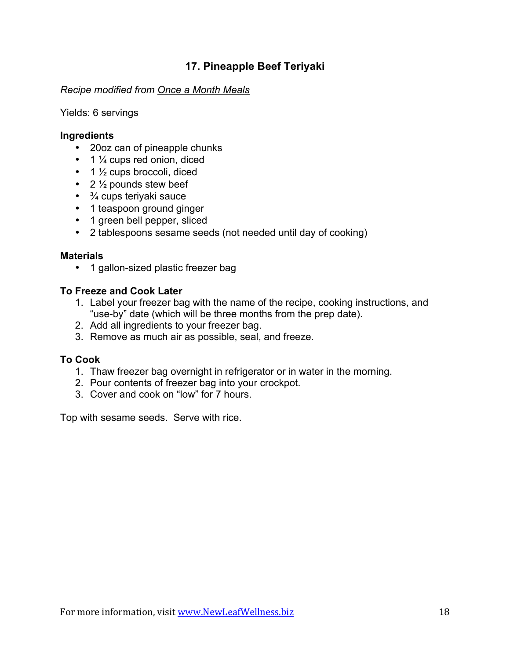# **17. Pineapple Beef Teriyaki**

### *Recipe modified from [Once a Month Meals](https://onceamonthmeals.com/recipes/pineapple-beef-teriyaki/)*

### Yields: 6 servings

### **Ingredients**

- 20oz can of pineapple chunks
- $\cdot$  1  $\frac{1}{4}$  cups red onion, diced
- $\cdot$  1  $\frac{1}{2}$  cups broccoli, diced
- 2  $\frac{1}{2}$  pounds stew beef
- $\cdot$   $\frac{3}{4}$  cups teriyaki sauce
- 1 teaspoon ground ginger
- 1 green bell pepper, sliced
- 2 tablespoons sesame seeds (not needed until day of cooking)

### **Materials**

• 1 gallon-sized plastic freezer bag

### **To Freeze and Cook Later**

- 1. Label your freezer bag with the name of the recipe, cooking instructions, and "use-by" date (which will be three months from the prep date).
- 2. Add all ingredients to your freezer bag.
- 3. Remove as much air as possible, seal, and freeze.

### **To Cook**

- 1. Thaw freezer bag overnight in refrigerator or in water in the morning.
- 2. Pour contents of freezer bag into your crockpot.
- 3. Cover and cook on "low" for 7 hours.

Top with sesame seeds. Serve with rice.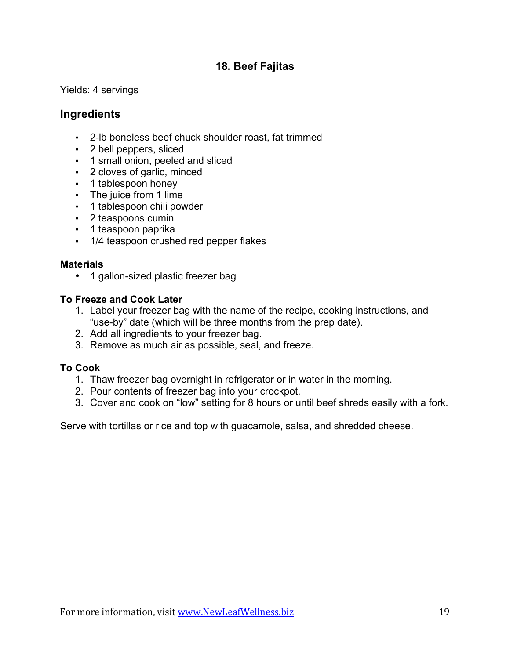# **18. Beef Fajitas**

Yields: 4 servings

# **Ingredients**

- 2-lb boneless beef chuck shoulder roast, fat trimmed
- 2 bell peppers, sliced
- 1 small onion, peeled and sliced
- 2 cloves of garlic, minced
- 1 tablespoon honey
- The juice from 1 lime
- 1 tablespoon chili powder
- 2 teaspoons cumin
- 1 teaspoon paprika
- 1/4 teaspoon crushed red pepper flakes

### **Materials**

• 1 gallon-sized plastic freezer bag

# **To Freeze and Cook Later**

- 1. Label your freezer bag with the name of the recipe, cooking instructions, and "use-by" date (which will be three months from the prep date).
- 2. Add all ingredients to your freezer bag.
- 3. Remove as much air as possible, seal, and freeze.

### **To Cook**

- 1. Thaw freezer bag overnight in refrigerator or in water in the morning.
- 2. Pour contents of freezer bag into your crockpot.
- 3. Cover and cook on "low" setting for 8 hours or until beef shreds easily with a fork.

Serve with tortillas or rice and top with guacamole, salsa, and shredded cheese.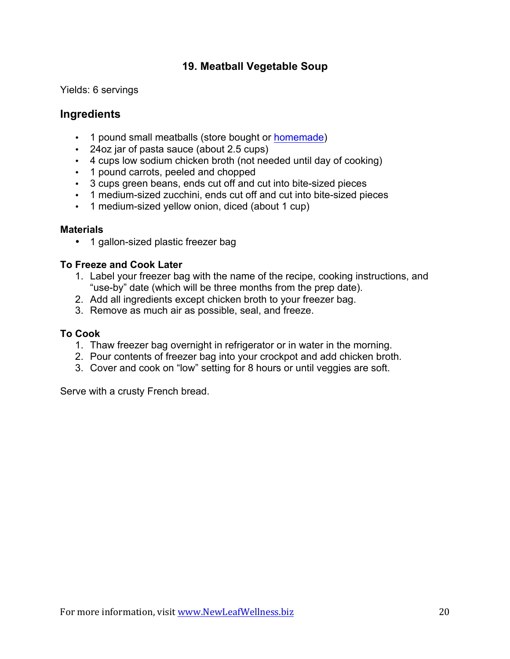# **19. Meatball Vegetable Soup**

Yields: 6 servings

# **Ingredients**

- 1 pound small meatballs (store bought or [homemade](http://wp.me/p3LWEC-1Hi))
- 24oz jar of pasta sauce (about 2.5 cups)
- 4 cups low sodium chicken broth (not needed until day of cooking)
- 1 pound carrots, peeled and chopped
- 3 cups green beans, ends cut off and cut into bite-sized pieces
- 1 medium-sized zucchini, ends cut off and cut into bite-sized pieces
- 1 medium-sized yellow onion, diced (about 1 cup)

### **Materials**

• 1 gallon-sized plastic freezer bag

# **To Freeze and Cook Later**

- 1. Label your freezer bag with the name of the recipe, cooking instructions, and "use-by" date (which will be three months from the prep date).
- 2. Add all ingredients except chicken broth to your freezer bag.
- 3. Remove as much air as possible, seal, and freeze.

### **To Cook**

- 1. Thaw freezer bag overnight in refrigerator or in water in the morning.
- 2. Pour contents of freezer bag into your crockpot and add chicken broth.
- 3. Cover and cook on "low" setting for 8 hours or until veggies are soft.

Serve with a crusty French bread.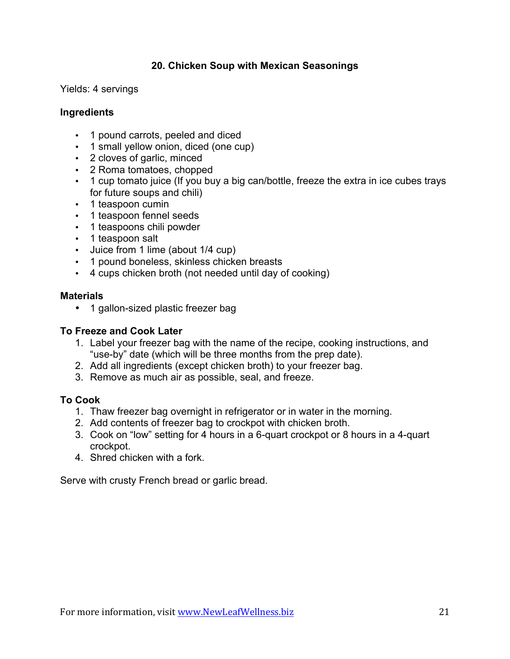# **20. Chicken Soup with Mexican Seasonings**

Yields: 4 servings

### **Ingredients**

- 1 pound carrots, peeled and diced
- 1 small yellow onion, diced (one cup)
- 2 cloves of garlic, minced
- 2 Roma tomatoes, chopped
- 1 cup tomato juice (If you buy a big can/bottle, freeze the extra in ice cubes trays for future soups and chili)
- 1 teaspoon cumin
- 1 teaspoon fennel seeds
- 1 teaspoons chili powder
- 1 teaspoon salt
- Juice from 1 lime (about 1/4 cup)
- 1 pound boneless, skinless chicken breasts
- 4 cups chicken broth (not needed until day of cooking)

### **Materials**

• 1 gallon-sized plastic freezer bag

### **To Freeze and Cook Later**

- 1. Label your freezer bag with the name of the recipe, cooking instructions, and "use-by" date (which will be three months from the prep date).
- 2. Add all ingredients (except chicken broth) to your freezer bag.
- 3. Remove as much air as possible, seal, and freeze.

### **To Cook**

- 1. Thaw freezer bag overnight in refrigerator or in water in the morning.
- 2. Add contents of freezer bag to crockpot with chicken broth.
- 3. Cook on "low" setting for 4 hours in a 6-quart crockpot or 8 hours in a 4-quart crockpot.
- 4. Shred chicken with a fork.

Serve with crusty French bread or garlic bread.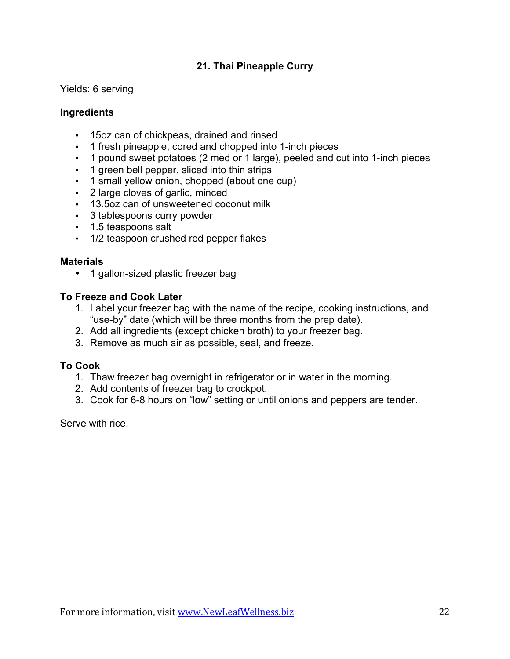# **21. Thai Pineapple Curry**

Yields: 6 serving

### **Ingredients**

- 15oz can of chickpeas, drained and rinsed
- 1 fresh pineapple, cored and chopped into 1-inch pieces
- 1 pound sweet potatoes (2 med or 1 large), peeled and cut into 1-inch pieces
- 1 green bell pepper, sliced into thin strips
- 1 small yellow onion, chopped (about one cup)
- 2 large cloves of garlic, minced
- 13.5oz can of unsweetened coconut milk
- 3 tablespoons curry powder
- 1.5 teaspoons salt
- 1/2 teaspoon crushed red pepper flakes

#### **Materials**

• 1 gallon-sized plastic freezer bag

# **To Freeze and Cook Later**

- 1. Label your freezer bag with the name of the recipe, cooking instructions, and "use-by" date (which will be three months from the prep date).
- 2. Add all ingredients (except chicken broth) to your freezer bag.
- 3. Remove as much air as possible, seal, and freeze.

### **To Cook**

- 1. Thaw freezer bag overnight in refrigerator or in water in the morning.
- 2. Add contents of freezer bag to crockpot.
- 3. Cook for 6-8 hours on "low" setting or until onions and peppers are tender.

Serve with rice.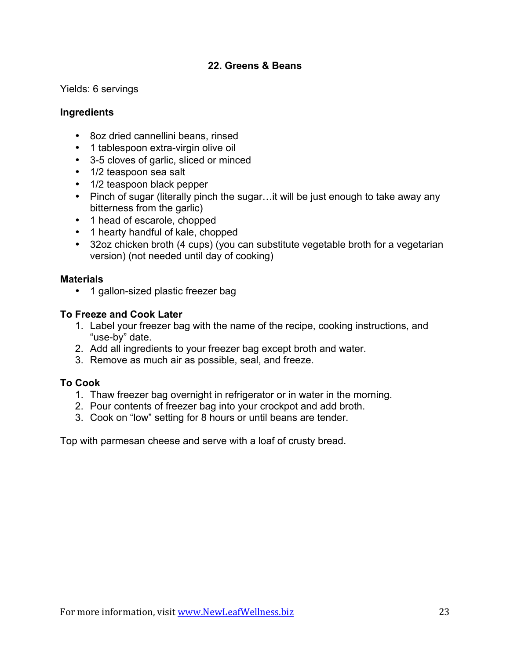# **22. Greens & Beans**

Yields: 6 servings

### **Ingredients**

- 8oz dried cannellini beans, rinsed
- 1 tablespoon extra-virgin olive oil
- 3-5 cloves of garlic, sliced or minced
- 1/2 teaspoon sea salt
- 1/2 teaspoon black pepper
- Pinch of sugar (literally pinch the sugar...it will be just enough to take away any bitterness from the garlic)
- 1 head of escarole, chopped
- 1 hearty handful of kale, chopped
- 32oz chicken broth (4 cups) (you can substitute vegetable broth for a vegetarian version) (not needed until day of cooking)

#### **Materials**

• 1 gallon-sized plastic freezer bag

### **To Freeze and Cook Later**

- 1. Label your freezer bag with the name of the recipe, cooking instructions, and "use-by" date.
- 2. Add all ingredients to your freezer bag except broth and water.
- 3. Remove as much air as possible, seal, and freeze.

### **To Cook**

- 1. Thaw freezer bag overnight in refrigerator or in water in the morning.
- 2. Pour contents of freezer bag into your crockpot and add broth.
- 3. Cook on "low" setting for 8 hours or until beans are tender.

Top with parmesan cheese and serve with a loaf of crusty bread.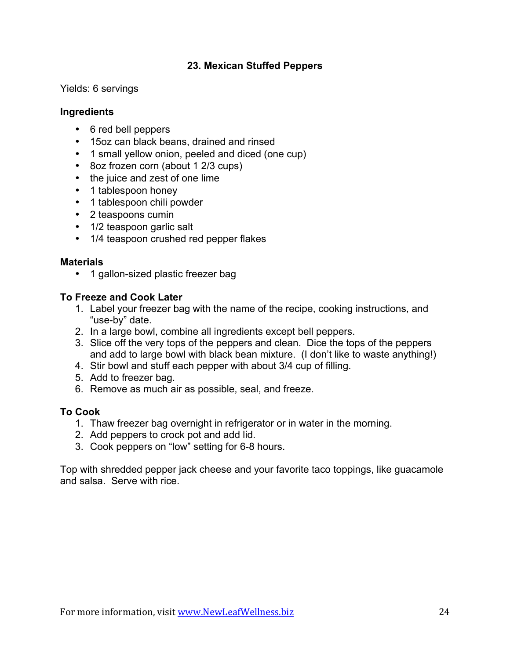# **23. Mexican Stuffed Peppers**

Yields: 6 servings

### **Ingredients**

- 6 red bell peppers
- 15oz can black beans, drained and rinsed
- 1 small yellow onion, peeled and diced (one cup)
- 8oz frozen corn (about 1 2/3 cups)
- the juice and zest of one lime
- 1 tablespoon honey
- 1 tablespoon chili powder
- 2 teaspoons cumin
- 1/2 teaspoon garlic salt
- 1/4 teaspoon crushed red pepper flakes

#### **Materials**

• 1 gallon-sized plastic freezer bag

# **To Freeze and Cook Later**

- 1. Label your freezer bag with the name of the recipe, cooking instructions, and "use-by" date.
- 2. In a large bowl, combine all ingredients except bell peppers.
- 3. Slice off the very tops of the peppers and clean. Dice the tops of the peppers and add to large bowl with black bean mixture. (I don't like to waste anything!)
- 4. Stir bowl and stuff each pepper with about 3/4 cup of filling.
- 5. Add to freezer bag.
- 6. Remove as much air as possible, seal, and freeze.

### **To Cook**

- 1. Thaw freezer bag overnight in refrigerator or in water in the morning.
- 2. Add peppers to crock pot and add lid.
- 3. Cook peppers on "low" setting for 6-8 hours.

Top with shredded pepper jack cheese and your favorite taco toppings, like guacamole and salsa. Serve with rice.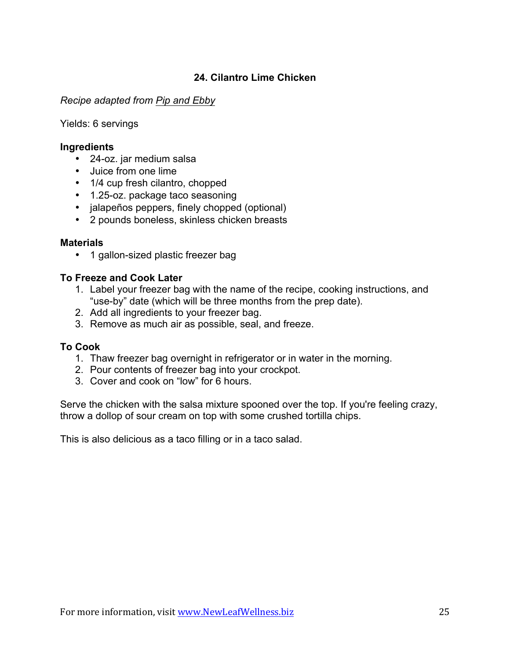# **24. Cilantro Lime Chicken**

### *Recipe adapted from [Pip and Ebby](http://www.pipandebby.com/pip-ebby/2011/11/18/slow-cooker-cilantro-lime-chicken.html)*

Yields: 6 servings

#### **Ingredients**

- 24-oz. jar medium salsa
- Juice from one lime
- 1/4 cup fresh cilantro, chopped
- 1.25-oz. package taco seasoning
- jalapeños peppers, finely chopped (optional)
- 2 pounds boneless, skinless chicken breasts

### **Materials**

• 1 gallon-sized plastic freezer bag

### **To Freeze and Cook Later**

- 1. Label your freezer bag with the name of the recipe, cooking instructions, and "use-by" date (which will be three months from the prep date).
- 2. Add all ingredients to your freezer bag.
- 3. Remove as much air as possible, seal, and freeze.

### **To Cook**

- 1. Thaw freezer bag overnight in refrigerator or in water in the morning.
- 2. Pour contents of freezer bag into your crockpot.
- 3. Cover and cook on "low" for 6 hours.

Serve the chicken with the salsa mixture spooned over the top. If you're feeling crazy, throw a dollop of sour cream on top with some crushed tortilla chips.

This is also delicious as a taco filling or in a taco salad.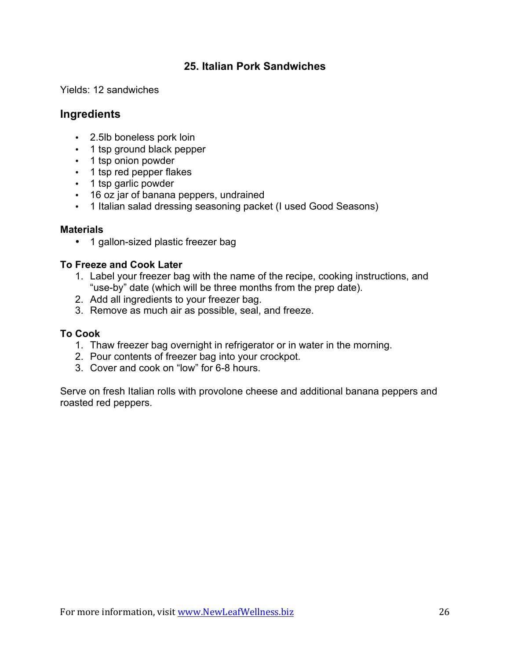# **25. Italian Pork Sandwiches**

Yields: 12 sandwiches

# **Ingredients**

- 2.5lb boneless pork loin
- 1 tsp ground black pepper
- 1 tsp onion powder
- 1 tsp red pepper flakes
- 1 tsp garlic powder
- 16 oz jar of banana peppers, undrained
- 1 Italian salad dressing seasoning packet (I used Good Seasons)

# **Materials**

• 1 gallon-sized plastic freezer bag

# **To Freeze and Cook Later**

- 1. Label your freezer bag with the name of the recipe, cooking instructions, and "use-by" date (which will be three months from the prep date).
- 2. Add all ingredients to your freezer bag.
- 3. Remove as much air as possible, seal, and freeze.

# **To Cook**

- 1. Thaw freezer bag overnight in refrigerator or in water in the morning.
- 2. Pour contents of freezer bag into your crockpot.
- 3. Cover and cook on "low" for 6-8 hours.

Serve on fresh Italian rolls with provolone cheese and additional banana peppers and roasted red peppers.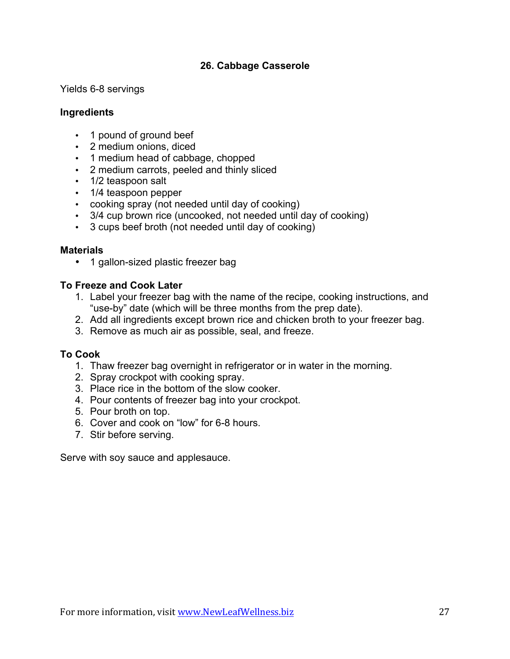# **26. Cabbage Casserole**

Yields 6-8 servings

### **Ingredients**

- 1 pound of ground beef
- 2 medium onions, diced
- 1 medium head of cabbage, chopped
- 2 medium carrots, peeled and thinly sliced
- 1/2 teaspoon salt
- 1/4 teaspoon pepper
- cooking spray (not needed until day of cooking)
- 3/4 cup brown rice (uncooked, not needed until day of cooking)
- 3 cups beef broth (not needed until day of cooking)

#### **Materials**

• 1 gallon-sized plastic freezer bag

### **To Freeze and Cook Later**

- 1. Label your freezer bag with the name of the recipe, cooking instructions, and "use-by" date (which will be three months from the prep date).
- 2. Add all ingredients except brown rice and chicken broth to your freezer bag.
- 3. Remove as much air as possible, seal, and freeze.

### **To Cook**

- 1. Thaw freezer bag overnight in refrigerator or in water in the morning.
- 2. Spray crockpot with cooking spray.
- 3. Place rice in the bottom of the slow cooker.
- 4. Pour contents of freezer bag into your crockpot.
- 5. Pour broth on top.
- 6. Cover and cook on "low" for 6-8 hours.
- 7. Stir before serving.

Serve with soy sauce and applesauce.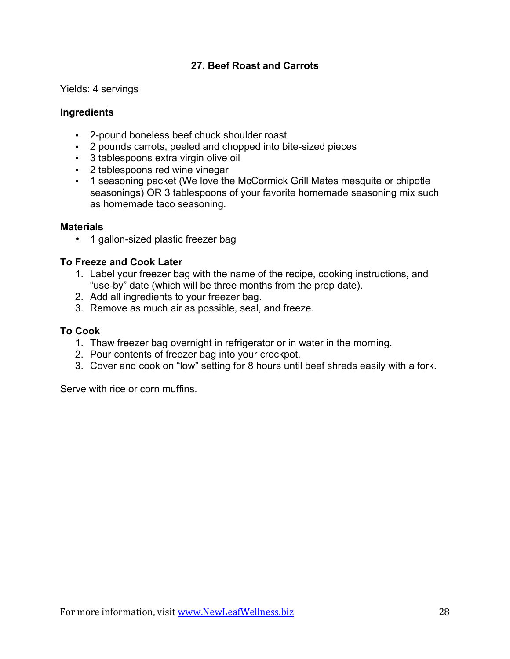# **27. Beef Roast and Carrots**

Yields: 4 servings

# **Ingredients**

- 2-pound boneless beef chuck shoulder roast
- 2 pounds carrots, peeled and chopped into bite-sized pieces
- 3 tablespoons extra virgin olive oil
- 2 tablespoons red wine vinegar
- 1 seasoning packet (We love the McCormick Grill Mates mesquite or chipotle seasonings) OR 3 tablespoons of your favorite homemade seasoning mix such as [homemade taco seasoning](https://newleafwellness.biz/2014/07/31/homemade-taco-seasoning-mix/).

### **Materials**

• 1 gallon-sized plastic freezer bag

# **To Freeze and Cook Later**

- 1. Label your freezer bag with the name of the recipe, cooking instructions, and "use-by" date (which will be three months from the prep date).
- 2. Add all ingredients to your freezer bag.
- 3. Remove as much air as possible, seal, and freeze.

### **To Cook**

- 1. Thaw freezer bag overnight in refrigerator or in water in the morning.
- 2. Pour contents of freezer bag into your crockpot.
- 3. Cover and cook on "low" setting for 8 hours until beef shreds easily with a fork.

Serve with rice or corn muffins.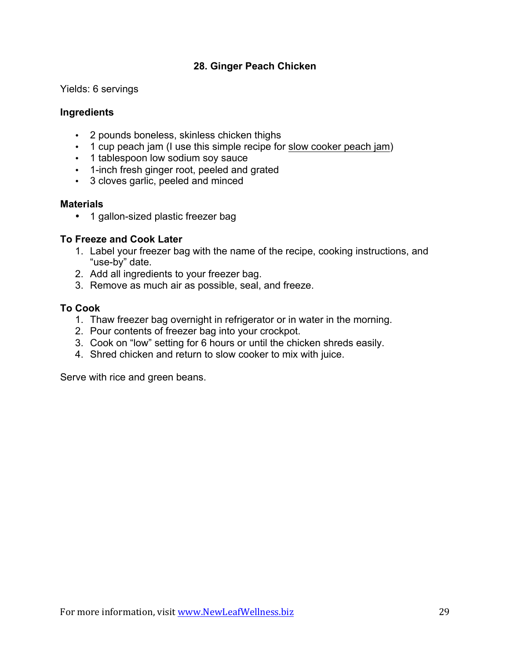# **28. Ginger Peach Chicken**

Yields: 6 servings

### **Ingredients**

- 2 pounds boneless, skinless chicken thighs
- 1 cup peach jam (I use this simple recipe for [slow cooker peach jam](https://newleafwellness.biz/2013/07/23/peach-slow-cooker-jam-recipe/))
- 1 tablespoon low sodium soy sauce
- 1-inch fresh ginger root, peeled and grated
- 3 cloves garlic, peeled and minced

#### **Materials**

• 1 gallon-sized plastic freezer bag

### **To Freeze and Cook Later**

- 1. Label your freezer bag with the name of the recipe, cooking instructions, and "use-by" date.
- 2. Add all ingredients to your freezer bag.
- 3. Remove as much air as possible, seal, and freeze.

# **To Cook**

- 1. Thaw freezer bag overnight in refrigerator or in water in the morning.
- 2. Pour contents of freezer bag into your crockpot.
- 3. Cook on "low" setting for 6 hours or until the chicken shreds easily.
- 4. Shred chicken and return to slow cooker to mix with juice.

Serve with rice and green beans.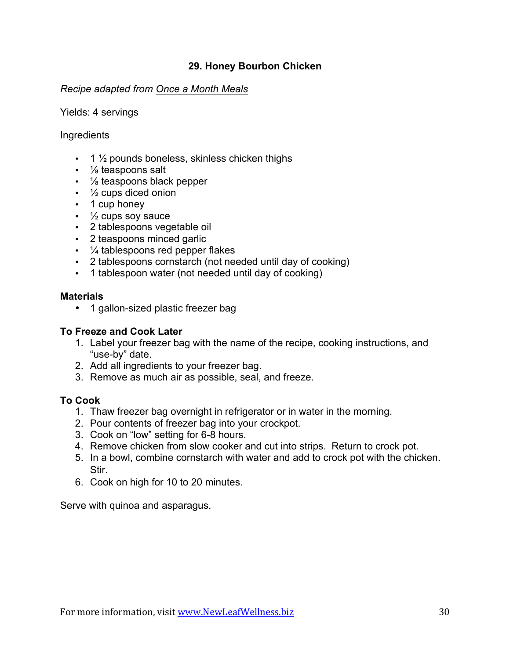# **29. Honey Bourbon Chicken**

### *Recipe adapted from [Once a Month Meals](https://onceamonthmeals.com/recipes/gluten-free-dairy-free-honey-bourbon-chicken-in-the-slow-cooker/)*

#### Yields: 4 servings

### **Ingredients**

- $\cdot$  1  $\frac{1}{2}$  pounds boneless, skinless chicken thighs
- 1/<sub>8</sub> teaspoons salt
- 1/<sub>8</sub> teaspoons black pepper
- $\cdot$   $\frac{1}{2}$  cups diced onion
- 1 cup honey
- ½ cups soy sauce
- 2 tablespoons vegetable oil
- 2 teaspoons minced garlic
- $\frac{1}{4}$  tablespoons red pepper flakes
- 2 tablespoons cornstarch (not needed until day of cooking)
- 1 tablespoon water (not needed until day of cooking)

### **Materials**

• 1 gallon-sized plastic freezer bag

### **To Freeze and Cook Later**

- 1. Label your freezer bag with the name of the recipe, cooking instructions, and "use-by" date.
- 2. Add all ingredients to your freezer bag.
- 3. Remove as much air as possible, seal, and freeze.

### **To Cook**

- 1. Thaw freezer bag overnight in refrigerator or in water in the morning.
- 2. Pour contents of freezer bag into your crockpot.
- 3. Cook on "low" setting for 6-8 hours.
- 4. Remove chicken from slow cooker and cut into strips. Return to crock pot.
- 5. In a bowl, combine cornstarch with water and add to crock pot with the chicken. Stir.
- 6. Cook on high for 10 to 20 minutes.

Serve with quinoa and asparagus.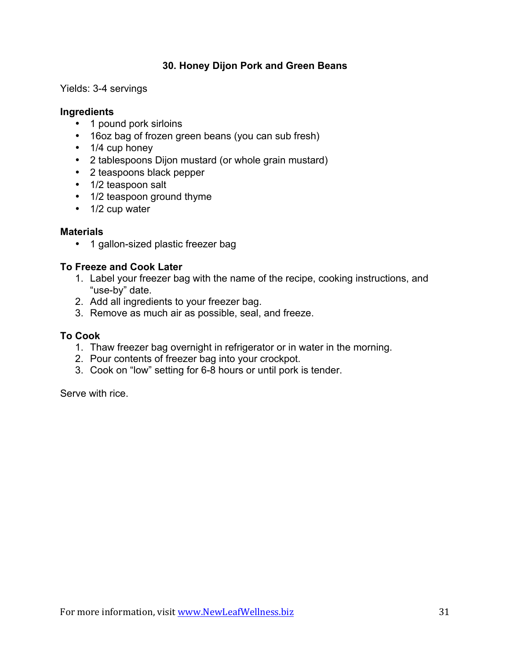# **30. Honey Dijon Pork and Green Beans**

Yields: 3-4 servings

### **Ingredients**

- 1 pound pork sirloins
- 16oz bag of frozen green beans (you can sub fresh)
- 1/4 cup honey
- 2 tablespoons Dijon mustard (or whole grain mustard)
- 2 teaspoons black pepper
- 1/2 teaspoon salt
- 1/2 teaspoon ground thyme
- 1/2 cup water

#### **Materials**

• 1 gallon-sized plastic freezer bag

# **To Freeze and Cook Later**

- 1. Label your freezer bag with the name of the recipe, cooking instructions, and "use-by" date.
- 2. Add all ingredients to your freezer bag.
- 3. Remove as much air as possible, seal, and freeze.

### **To Cook**

- 1. Thaw freezer bag overnight in refrigerator or in water in the morning.
- 2. Pour contents of freezer bag into your crockpot.
- 3. Cook on "low" setting for 6-8 hours or until pork is tender.

Serve with rice.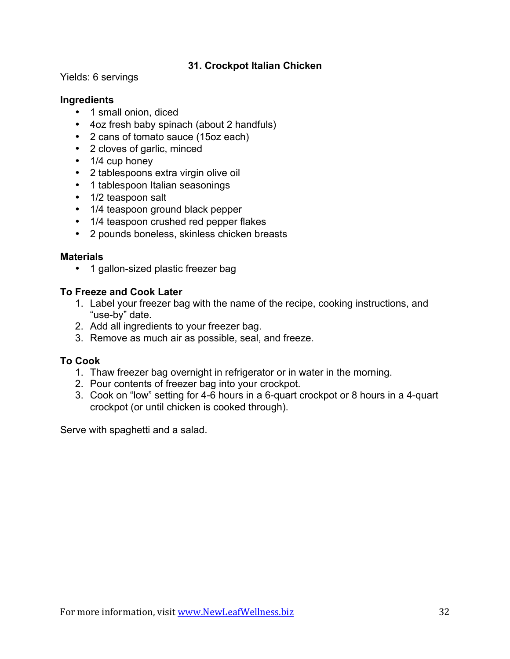# **31. Crockpot Italian Chicken**

Yields: 6 servings

### **Ingredients**

- 1 small onion, diced
- 4oz fresh baby spinach (about 2 handfuls)
- 2 cans of tomato sauce (15oz each)
- 2 cloves of garlic, minced
- 1/4 cup honey
- 2 tablespoons extra virgin olive oil
- 1 tablespoon Italian seasonings
- 1/2 teaspoon salt
- 1/4 teaspoon ground black pepper
- 1/4 teaspoon crushed red pepper flakes
- 2 pounds boneless, skinless chicken breasts

### **Materials**

• 1 gallon-sized plastic freezer bag

### **To Freeze and Cook Later**

- 1. Label your freezer bag with the name of the recipe, cooking instructions, and "use-by" date.
- 2. Add all ingredients to your freezer bag.
- 3. Remove as much air as possible, seal, and freeze.

### **To Cook**

- 1. Thaw freezer bag overnight in refrigerator or in water in the morning.
- 2. Pour contents of freezer bag into your crockpot.
- 3. Cook on "low" setting for 4-6 hours in a 6-quart crockpot or 8 hours in a 4-quart crockpot (or until chicken is cooked through).

Serve with spaghetti and a salad.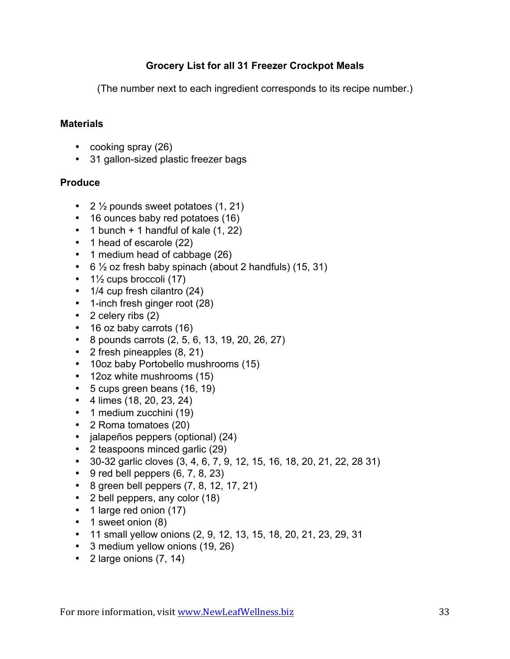# **Grocery List for all 31 Freezer Crockpot Meals**

(The number next to each ingredient corresponds to its recipe number.)

# **Materials**

- cooking spray (26)
- 31 gallon-sized plastic freezer bags

# **Produce**

- 2  $\frac{1}{2}$  pounds sweet potatoes (1, 21)
- 16 ounces baby red potatoes (16)
- 1 bunch  $+$  1 handful of kale  $(1, 22)$
- 1 head of escarole (22)
- 1 medium head of cabbage (26)
- $\cdot$  6  $\frac{1}{2}$  oz fresh baby spinach (about 2 handfuls) (15, 31)
- $\cdot$  1<sup>1</sup>/<sub>2</sub> cups broccoli (17)
- 1/4 cup fresh cilantro (24)
- 1-inch fresh ginger root (28)
- 2 celery ribs (2)
- 16 oz baby carrots (16)
- 8 pounds carrots (2, 5, 6, 13, 19, 20, 26, 27)
- 2 fresh pineapples (8, 21)
- 10oz baby Portobello mushrooms (15)
- 12oz white mushrooms (15)
- 5 cups green beans (16, 19)
- 4 limes (18, 20, 23, 24)
- 1 medium zucchini (19)
- 2 Roma tomatoes (20)
- jalapeños peppers (optional) (24)
- 2 teaspoons minced garlic (29)
- 30-32 garlic cloves (3, 4, 6, 7, 9, 12, 15, 16, 18, 20, 21, 22, 28 31)
- $\bullet$  9 red bell peppers  $(6, 7, 8, 23)$
- 8 green bell peppers (7, 8, 12, 17, 21)
- 2 bell peppers, any color (18)
- 1 large red onion (17)
- 1 sweet onion (8)
- 11 small yellow onions (2, 9, 12, 13, 15, 18, 20, 21, 23, 29, 31
- 3 medium yellow onions (19, 26)
- 2 large onions (7, 14)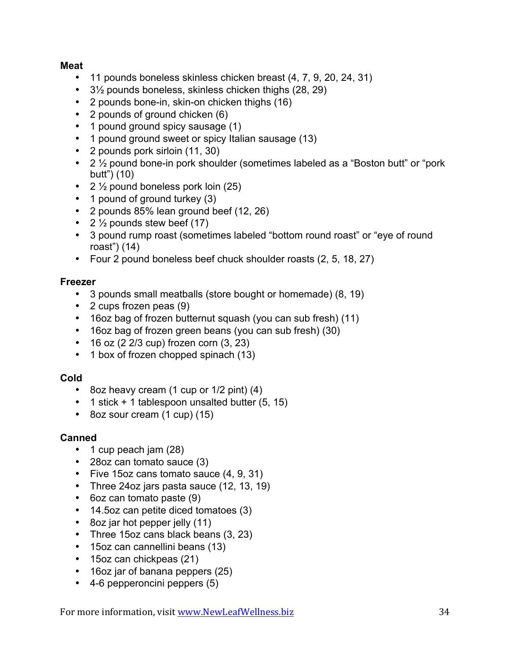# **Meat**

- 11 pounds boneless skinless chicken breast (4, 7, 9, 20, 24, 31)
- 3½ pounds boneless, skinless chicken thighs (28, 29)
- 2 pounds bone-in, skin-on chicken thighs (16)
- 2 pounds of ground chicken (6)
- 1 pound ground spicy sausage (1)
- 1 pound ground sweet or spicy Italian sausage (13)
- 2 pounds pork sirloin (11, 30)
- 2 ½ pound bone-in pork shoulder (sometimes labeled as a "Boston butt" or "pork butt") (10)
- 2  $\frac{1}{2}$  pound boneless pork loin (25)
- 1 pound of ground turkey (3)
- 2 pounds 85% lean ground beef (12, 26)
- 2  $\frac{1}{2}$  pounds stew beef (17)
- 3 pound rump roast (sometimes labeled "bottom round roast" or "eye of round roast") (14)
- Four 2 pound boneless beef chuck shoulder roasts (2, 5, 18, 27)

# **Freezer**

- 3 pounds small meatballs (store bought or homemade) (8, 19)
- 2 cups frozen peas (9)
- 16oz bag of frozen butternut squash (you can sub fresh) (11)
- 16oz bag of frozen green beans (you can sub fresh) (30)
- 16 oz (2 2/3 cup) frozen corn (3, 23)
- 1 box of frozen chopped spinach (13)

### **Cold**

- 8oz heavy cream (1 cup or 1/2 pint) (4)
- 1 stick + 1 tablespoon unsalted butter (5, 15)
- 8oz sour cream (1 cup) (15)

# **Canned**

- 1 cup peach jam (28)
- 28oz can tomato sauce (3)
- Five 15oz cans tomato sauce (4, 9, 31)
- Three 24oz jars pasta sauce (12, 13, 19)
- 6oz can tomato paste (9)
- 14.5oz can petite diced tomatoes (3)
- 8oz jar hot pepper jelly (11)
- Three 15oz cans black beans (3, 23)
- 15oz can cannellini beans (13)
- 15oz can chickpeas (21)
- 16oz jar of banana peppers (25)
- 4-6 pepperoncini peppers (5)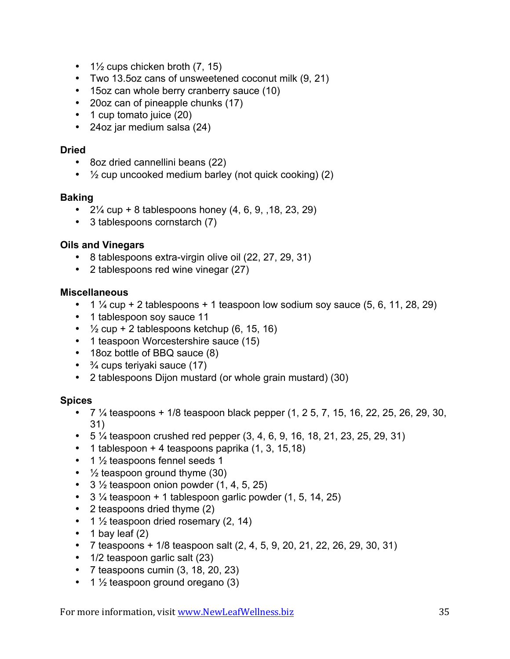- $1\frac{1}{2}$  cups chicken broth  $(7, 15)$
- Two 13.5oz cans of unsweetened coconut milk (9, 21)
- 15oz can whole berry cranberry sauce (10)
- 20oz can of pineapple chunks (17)
- 1 cup tomato juice (20)
- 24oz jar medium salsa (24)

### **Dried**

- 8oz dried cannellini beans (22)
- $\cdot$   $\frac{1}{2}$  cup uncooked medium barley (not quick cooking) (2)

### **Baking**

- $2\frac{1}{4}$  cup + 8 tablespoons honey (4, 6, 9, , 18, 23, 29)
- 3 tablespoons cornstarch (7)

### **Oils and Vinegars**

- 8 tablespoons extra-virgin olive oil (22, 27, 29, 31)
- 2 tablespoons red wine vinegar (27)

### **Miscellaneous**

- $1\frac{1}{4}$  cup + 2 tablespoons + 1 teaspoon low sodium soy sauce (5, 6, 11, 28, 29)
- 1 tablespoon soy sauce 11
- $\frac{1}{2}$  cup + 2 tablespoons ketchup (6, 15, 16)
- 1 teaspoon Worcestershire sauce (15)
- 18oz bottle of BBQ sauce (8)
- $\cdot$   $\frac{3}{4}$  cups teriyaki sauce (17)
- 2 tablespoons Dijon mustard (or whole grain mustard) (30)

### **Spices**

- $7\frac{1}{4}$  teaspoons + 1/8 teaspoon black pepper (1, 2 5, 7, 15, 16, 22, 25, 26, 29, 30, 31)
- 5  $\frac{1}{4}$  teaspoon crushed red pepper (3, 4, 6, 9, 16, 18, 21, 23, 25, 29, 31)
- $\bullet$  1 tablespoon + 4 teaspoons paprika  $(1, 3, 15, 18)$
- 1 1/2 teaspoons fennel seeds 1
- 1/2 teaspoon ground thyme (30)
- $3\frac{1}{2}$  teaspoon onion powder  $(1, 4, 5, 25)$
- $3\frac{1}{4}$  teaspoon + 1 tablespoon garlic powder (1, 5, 14, 25)
- 2 teaspoons dried thyme (2)
- 1  $\frac{1}{2}$  teaspoon dried rosemary (2, 14)
- $\cdot$  1 bay leaf (2)
- 7 teaspoons +  $1/8$  teaspoon salt  $(2, 4, 5, 9, 20, 21, 22, 26, 29, 30, 31)$
- 1/2 teaspoon garlic salt (23)
- $\bullet$  7 teaspoons cumin  $(3, 18, 20, 23)$
- 1  $\frac{1}{2}$  teaspoon ground oregano (3)

For more information, visit www.NewLeafWellness.biz 35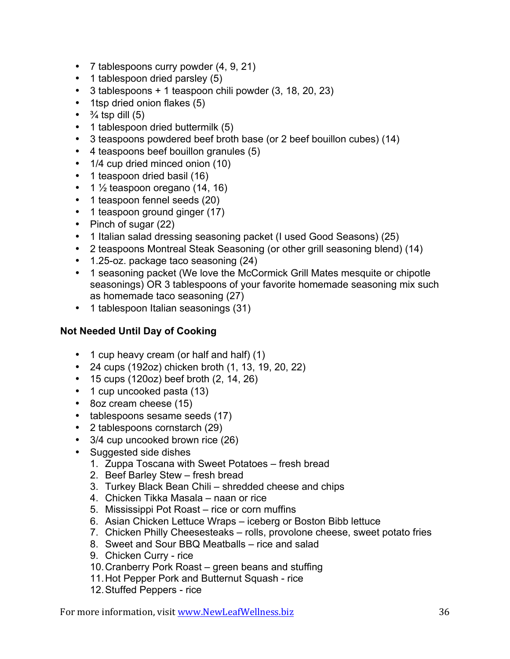- 7 tablespoons curry powder (4, 9, 21)
- 1 tablespoon dried parsley (5)
- 3 tablespoons + 1 teaspoon chili powder (3, 18, 20, 23)
- 1tsp dried onion flakes (5)
- $\cdot$   $\frac{3}{4}$  tsp dill (5)
- 1 tablespoon dried buttermilk (5)
- 3 teaspoons powdered beef broth base (or 2 beef bouillon cubes) (14)
- 4 teaspoons beef bouillon granules (5)
- 1/4 cup dried minced onion (10)
- 1 teaspoon dried basil (16)
- $\cdot$  1  $\frac{1}{2}$  teaspoon oregano (14, 16)
- 1 teaspoon fennel seeds (20)
- 1 teaspoon ground ginger (17)
- Pinch of sugar (22)
- 1 Italian salad dressing seasoning packet (I used Good Seasons) (25)
- 2 teaspoons Montreal Steak Seasoning (or other grill seasoning blend) (14)
- 1.25-oz. package taco seasoning (24)
- 1 seasoning packet (We love the McCormick Grill Mates mesquite or chipotle seasonings) OR 3 tablespoons of your favorite homemade seasoning mix such as homemade taco seasoning (27)
- 1 tablespoon Italian seasonings (31)

# **Not Needed Until Day of Cooking**

- 1 cup heavy cream (or half and half) (1)
- 24 cups (192oz) chicken broth (1, 13, 19, 20, 22)
- 15 cups (120oz) beef broth (2, 14, 26)
- 1 cup uncooked pasta (13)
- 8oz cream cheese (15)
- tablespoons sesame seeds (17)
- 2 tablespoons cornstarch (29)
- 3/4 cup uncooked brown rice (26)
- Suggested side dishes
	- 1. Zuppa Toscana with Sweet Potatoes fresh bread
	- 2. Beef Barley Stew fresh bread
	- 3. Turkey Black Bean Chili shredded cheese and chips
	- 4. Chicken Tikka Masala naan or rice
	- 5. Mississippi Pot Roast rice or corn muffins
	- 6. Asian Chicken Lettuce Wraps iceberg or Boston Bibb lettuce
	- 7. Chicken Philly Cheesesteaks rolls, provolone cheese, sweet potato fries
	- 8. Sweet and Sour BBQ Meatballs rice and salad
	- 9. Chicken Curry rice
	- 10.Cranberry Pork Roast green beans and stuffing
	- 11.Hot Pepper Pork and Butternut Squash rice
	- 12.Stuffed Peppers rice

For more information, visit www.NewLeafWellness.biz 36